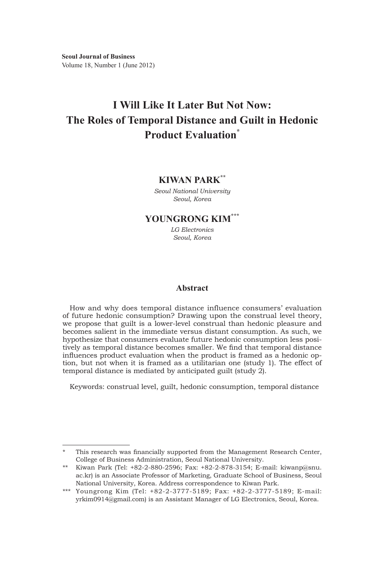# **I Will Like It Later But Not Now: The Roles of Temporal Distance and Guilt in Hedonic Product Evaluation\***

### **KIWAN PARK\*\*1)**

*Seoul National University Seoul, Korea*

## **YOUNGRONG KIM\*\*\***

*LG Electronics Seoul, Korea*

### **Abstract**

How and why does temporal distance influence consumers' evaluation of future hedonic consumption? Drawing upon the construal level theory, we propose that guilt is a lower-level construal than hedonic pleasure and becomes salient in the immediate versus distant consumption. As such, we hypothesize that consumers evaluate future hedonic consumption less positively as temporal distance becomes smaller. We find that temporal distance influences product evaluation when the product is framed as a hedonic option, but not when it is framed as a utilitarian one (study 1). The effect of temporal distance is mediated by anticipated guilt (study 2).

Keywords: construal level, guilt, hedonic consumption, temporal distance

<sup>\*</sup> This research was financially supported from the Management Research Center, College of Business Administration, Seoul National University.

<sup>\*\*</sup> Kiwan Park (Tel: +82-2-880-2596; Fax: +82-2-878-3154; E-mail: kiwanp@snu. ac.kr) is an Associate Professor of Marketing, Graduate School of Business, Seoul National University, Korea. Address correspondence to Kiwan Park.

<sup>\*\*\*</sup> Youngrong Kim (Tel: +82-2-3777-5189; Fax: +82-2-3777-5189; E-mail: yrkim0914@gmail.com) is an Assistant Manager of LG Electronics, Seoul, Korea.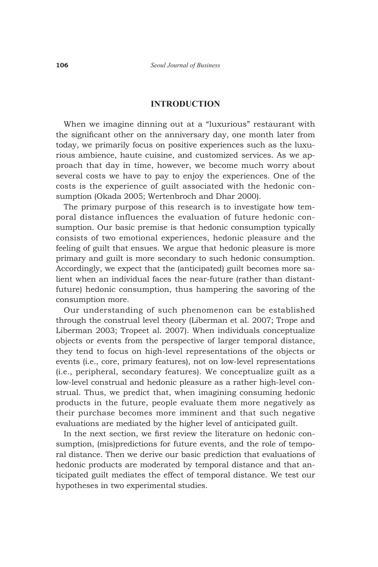### **INTRODUCTION**

When we imagine dinning out at a "luxurious" restaurant with the significant other on the anniversary day, one month later from today, we primarily focus on positive experiences such as the luxurious ambience, haute cuisine, and customized services. As we approach that day in time, however, we become much worry about several costs we have to pay to enjoy the experiences. One of the costs is the experience of guilt associated with the hedonic consumption (Okada 2005; Wertenbroch and Dhar 2000).

The primary purpose of this research is to investigate how temporal distance influences the evaluation of future hedonic consumption. Our basic premise is that hedonic consumption typically consists of two emotional experiences, hedonic pleasure and the feeling of guilt that ensues. We argue that hedonic pleasure is more primary and guilt is more secondary to such hedonic consumption. Accordingly, we expect that the (anticipated) guilt becomes more salient when an individual faces the near-future (rather than distantfuture) hedonic consumption, thus hampering the savoring of the consumption more.

Our understanding of such phenomenon can be established through the construal level theory (Liberman et al. 2007; Trope and Liberman 2003; Tropeet al. 2007). When individuals conceptualize objects or events from the perspective of larger temporal distance, they tend to focus on high-level representations of the objects or events (i.e., core, primary features), not on low-level representations (i.e., peripheral, secondary features). We conceptualize guilt as a low-level construal and hedonic pleasure as a rather high-level construal. Thus, we predict that, when imagining consuming hedonic products in the future, people evaluate them more negatively as their purchase becomes more imminent and that such negative evaluations are mediated by the higher level of anticipated guilt.

In the next section, we first review the literature on hedonic consumption, (mis)predictions for future events, and the role of temporal distance. Then we derive our basic prediction that evaluations of hedonic products are moderated by temporal distance and that anticipated guilt mediates the effect of temporal distance. We test our hypotheses in two experimental studies.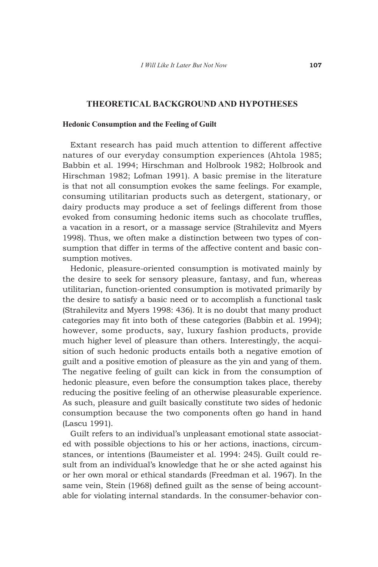### **THEORETICAL BACKGROUND AND HYPOTHESES**

### **Hedonic Consumption and the Feeling of Guilt**

Extant research has paid much attention to different affective natures of our everyday consumption experiences (Ahtola 1985; Babbin et al. 1994; Hirschman and Holbrook 1982; Holbrook and Hirschman 1982; Lofman 1991). A basic premise in the literature is that not all consumption evokes the same feelings. For example, consuming utilitarian products such as detergent, stationary, or dairy products may produce a set of feelings different from those evoked from consuming hedonic items such as chocolate truffles, a vacation in a resort, or a massage service (Strahilevitz and Myers 1998). Thus, we often make a distinction between two types of consumption that differ in terms of the affective content and basic consumption motives.

Hedonic, pleasure-oriented consumption is motivated mainly by the desire to seek for sensory pleasure, fantasy, and fun, whereas utilitarian, function-oriented consumption is motivated primarily by the desire to satisfy a basic need or to accomplish a functional task (Strahilevitz and Myers 1998: 436). It is no doubt that many product categories may fit into both of these categories (Babbin et al. 1994); however, some products, say, luxury fashion products, provide much higher level of pleasure than others. Interestingly, the acquisition of such hedonic products entails both a negative emotion of guilt and a positive emotion of pleasure as the yin and yang of them. The negative feeling of guilt can kick in from the consumption of hedonic pleasure, even before the consumption takes place, thereby reducing the positive feeling of an otherwise pleasurable experience. As such, pleasure and guilt basically constitute two sides of hedonic consumption because the two components often go hand in hand (Lascu 1991).

Guilt refers to an individual's unpleasant emotional state associated with possible objections to his or her actions, inactions, circumstances, or intentions (Baumeister et al. 1994: 245). Guilt could result from an individual's knowledge that he or she acted against his or her own moral or ethical standards (Freedman et al. 1967). In the same vein, Stein (1968) defined guilt as the sense of being accountable for violating internal standards. In the consumer-behavior con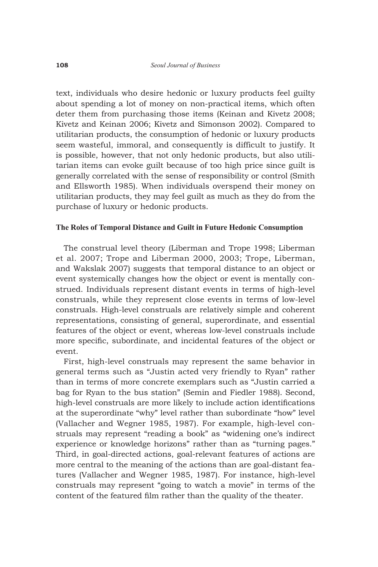text, individuals who desire hedonic or luxury products feel guilty about spending a lot of money on non-practical items, which often deter them from purchasing those items (Keinan and Kivetz 2008; Kivetz and Keinan 2006; Kivetz and Simonson 2002). Compared to utilitarian products, the consumption of hedonic or luxury products seem wasteful, immoral, and consequently is difficult to justify. It is possible, however, that not only hedonic products, but also utilitarian items can evoke guilt because of too high price since guilt is generally correlated with the sense of responsibility or control (Smith and Ellsworth 1985). When individuals overspend their money on utilitarian products, they may feel guilt as much as they do from the purchase of luxury or hedonic products.

### **The Roles of Temporal Distance and Guilt in Future Hedonic Consumption**

The construal level theory (Liberman and Trope 1998; Liberman et al. 2007; Trope and Liberman 2000, 2003; Trope, Liberman, and Wakslak 2007) suggests that temporal distance to an object or event systemically changes how the object or event is mentally construed. Individuals represent distant events in terms of high-level construals, while they represent close events in terms of low-level construals. High-level construals are relatively simple and coherent representations, consisting of general, superordinate, and essential features of the object or event, whereas low-level construals include more specific, subordinate, and incidental features of the object or event.

First, high-level construals may represent the same behavior in general terms such as "Justin acted very friendly to Ryan" rather than in terms of more concrete exemplars such as "Justin carried a bag for Ryan to the bus station" (Semin and Fiedler 1988). Second, high-level construals are more likely to include action identifications at the superordinate "why" level rather than subordinate "how" level (Vallacher and Wegner 1985, 1987). For example, high-level construals may represent "reading a book" as "widening one's indirect experience or knowledge horizons" rather than as "turning pages." Third, in goal-directed actions, goal-relevant features of actions are more central to the meaning of the actions than are goal-distant features (Vallacher and Wegner 1985, 1987). For instance, high-level construals may represent "going to watch a movie" in terms of the content of the featured film rather than the quality of the theater.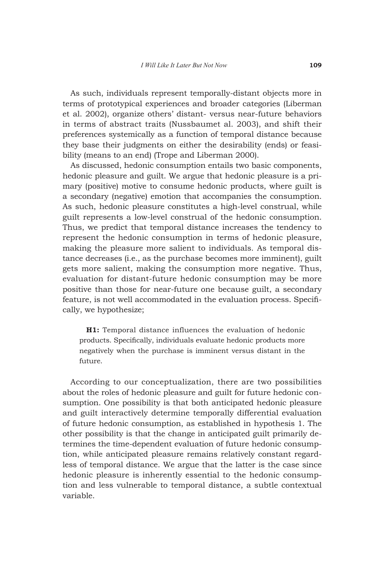As such, individuals represent temporally-distant objects more in terms of prototypical experiences and broader categories (Liberman et al. 2002), organize others' distant- versus near-future behaviors in terms of abstract traits (Nussbaumet al. 2003), and shift their preferences systemically as a function of temporal distance because they base their judgments on either the desirability (ends) or feasibility (means to an end) (Trope and Liberman 2000).

As discussed, hedonic consumption entails two basic components, hedonic pleasure and guilt. We argue that hedonic pleasure is a primary (positive) motive to consume hedonic products, where guilt is a secondary (negative) emotion that accompanies the consumption. As such, hedonic pleasure constitutes a high-level construal, while guilt represents a low-level construal of the hedonic consumption. Thus, we predict that temporal distance increases the tendency to represent the hedonic consumption in terms of hedonic pleasure, making the pleasure more salient to individuals. As temporal distance decreases (i.e., as the purchase becomes more imminent), guilt gets more salient, making the consumption more negative. Thus, evaluation for distant-future hedonic consumption may be more positive than those for near-future one because guilt, a secondary feature, is not well accommodated in the evaluation process. Specifically, we hypothesize;

**H1:** Temporal distance influences the evaluation of hedonic products. Specifically, individuals evaluate hedonic products more negatively when the purchase is imminent versus distant in the future.

According to our conceptualization, there are two possibilities about the roles of hedonic pleasure and guilt for future hedonic consumption. One possibility is that both anticipated hedonic pleasure and guilt interactively determine temporally differential evaluation of future hedonic consumption, as established in hypothesis 1. The other possibility is that the change in anticipated guilt primarily determines the time-dependent evaluation of future hedonic consumption, while anticipated pleasure remains relatively constant regardless of temporal distance. We argue that the latter is the case since hedonic pleasure is inherently essential to the hedonic consumption and less vulnerable to temporal distance, a subtle contextual variable.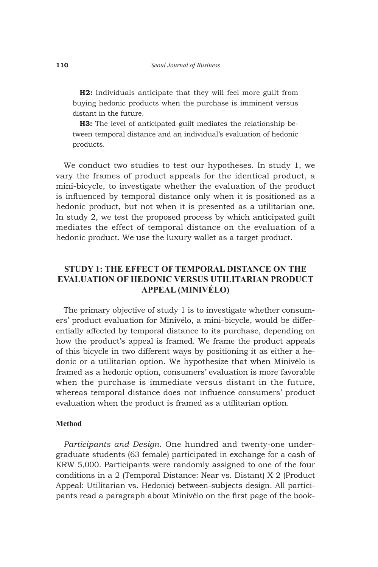**H2:** Individuals anticipate that they will feel more guilt from buying hedonic products when the purchase is imminent versus distant in the future.

**H3:** The level of anticipated guilt mediates the relationship between temporal distance and an individual's evaluation of hedonic products.

We conduct two studies to test our hypotheses. In study 1, we vary the frames of product appeals for the identical product, a mini-bicycle, to investigate whether the evaluation of the product is influenced by temporal distance only when it is positioned as a hedonic product, but not when it is presented as a utilitarian one. In study 2, we test the proposed process by which anticipated guilt mediates the effect of temporal distance on the evaluation of a hedonic product. We use the luxury wallet as a target product.

### **STUDY 1: THE EFFECT OF TEMPORAL DIsTANCE ON the evaluation of hedonic versus utilitarian product appeal (minivélo)**

The primary objective of study 1 is to investigate whether consumers' product evaluation for Minivélo, a mini-bicycle, would be differentially affected by temporal distance to its purchase, depending on how the product's appeal is framed. We frame the product appeals of this bicycle in two different ways by positioning it as either a hedonic or a utilitarian option. We hypothesize that when Minivélo is framed as a hedonic option, consumers' evaluation is more favorable when the purchase is immediate versus distant in the future, whereas temporal distance does not influence consumers' product evaluation when the product is framed as a utilitarian option.

### **Method**

*Participants and Design*. One hundred and twenty-one undergraduate students (63 female) participated in exchange for a cash of KRW 5,000. Participants were randomly assigned to one of the four conditions in a 2 (Temporal Distance: Near vs. Distant) X 2 (Product Appeal: Utilitarian vs. Hedonic) between-subjects design. All participants read a paragraph about Minivélo on the first page of the book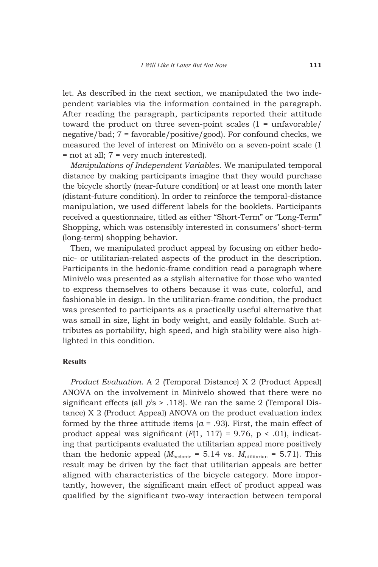let. As described in the next section, we manipulated the two independent variables via the information contained in the paragraph. After reading the paragraph, participants reported their attitude toward the product on three seven-point scales  $(1 - \text{unfavorable})$ negative/bad; 7 = favorable/positive/good). For confound checks, we measured the level of interest on Minivélo on a seven-point scale (1 = not at all; 7 = very much interested).

*Manipulations of Independent Variables*. We manipulated temporal distance by making participants imagine that they would purchase the bicycle shortly (near-future condition) or at least one month later (distant-future condition). In order to reinforce the temporal-distance manipulation, we used different labels for the booklets. Participants received a questionnaire, titled as either "Short-Term" or "Long-Term" Shopping, which was ostensibly interested in consumers' short-term (long-term) shopping behavior.

Then, we manipulated product appeal by focusing on either hedonic- or utilitarian-related aspects of the product in the description. Participants in the hedonic-frame condition read a paragraph where Minivélo was presented as a stylish alternative for those who wanted to express themselves to others because it was cute, colorful, and fashionable in design. In the utilitarian-frame condition, the product was presented to participants as a practically useful alternative that was small in size, light in body weight, and easily foldable. Such attributes as portability, high speed, and high stability were also highlighted in this condition.

### **Results**

*Product Evaluation*. A 2 (Temporal Distance) X 2 (Product Appeal) ANOVA on the involvement in Minivélo showed that there were no significant effects (all *p*'s > .118). We ran the same 2 (Temporal Distance) X 2 (Product Appeal) ANOVA on the product evaluation index formed by the three attitude items  $(a = .93)$ . First, the main effect of product appeal was significant  $(F(1, 117) = 9.76, p < .01)$ , indicating that participants evaluated the utilitarian appeal more positively than the hedonic appeal ( $M_{\text{hedonic}} = 5.14$  vs.  $M_{\text{utilitarian}} = 5.71$ ). This result may be driven by the fact that utilitarian appeals are better aligned with characteristics of the bicycle category. More importantly, however, the significant main effect of product appeal was qualified by the significant two-way interaction between temporal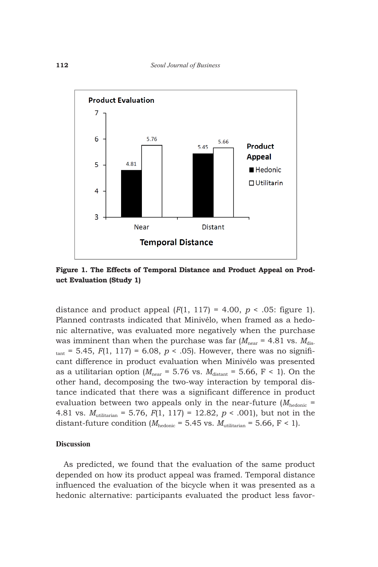

**Figure 1. The Effects of Temporal Distance and Product Appeal on Product Evaluation (Study 1)**

distance and product appeal  $(F(1, 117) = 4.00, p < .05$ : figure 1). Planned contrasts indicated that Minivélo, when framed as a hedonic alternative, was evaluated more negatively when the purchase was imminent than when the purchase was far  $(M_{\text{near}} = 4.81 \text{ vs. } M_{\text{dis}})$  $t_{\text{part}}$  = 5.45, *F*(1, 117) = 6.08, *p* < .05). However, there was no significant difference in product evaluation when Minivélo was presented as a utilitarian option ( $M_{\text{near}} = 5.76$  vs.  $M_{\text{distant}} = 5.66$ , F < 1). On the other hand, decomposing the two-way interaction by temporal distance indicated that there was a significant difference in product evaluation between two appeals only in the near-future  $(M_{\text{hedonic}} =$ 4.81 vs. *M*utilitarian = 5.76, *F*(1, 117) = 12.82, *p* < .001), but not in the distant-future condition ( $M_{\text{hedonic}} = 5.45$  vs.  $M_{\text{utilitarian}} = 5.66$ , F < 1).

### **Discussion**

As predicted, we found that the evaluation of the same product depended on how its product appeal was framed. Temporal distance influenced the evaluation of the bicycle when it was presented as a hedonic alternative: participants evaluated the product less favor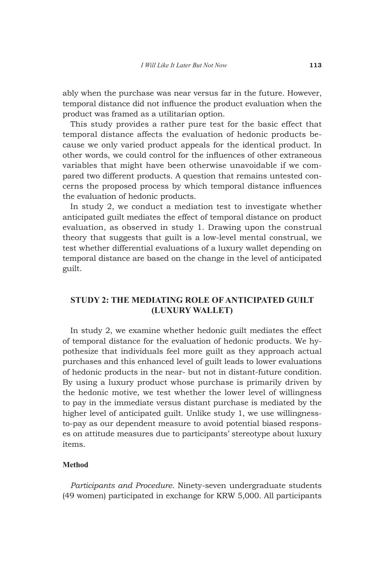ably when the purchase was near versus far in the future. However, temporal distance did not influence the product evaluation when the product was framed as a utilitarian option.

This study provides a rather pure test for the basic effect that temporal distance affects the evaluation of hedonic products because we only varied product appeals for the identical product. In other words, we could control for the influences of other extraneous variables that might have been otherwise unavoidable if we compared two different products. A question that remains untested concerns the proposed process by which temporal distance influences the evaluation of hedonic products.

In study 2, we conduct a mediation test to investigate whether anticipated guilt mediates the effect of temporal distance on product evaluation, as observed in study 1. Drawing upon the construal theory that suggests that guilt is a low-level mental construal, we test whether differential evaluations of a luxury wallet depending on temporal distance are based on the change in the level of anticipated guilt.

### **STUDY 2: THE MEDIATING ROLE OF ANTICIPATED GUILT (LUXURY WALLET)**

In study 2, we examine whether hedonic guilt mediates the effect of temporal distance for the evaluation of hedonic products. We hypothesize that individuals feel more guilt as they approach actual purchases and this enhanced level of guilt leads to lower evaluations of hedonic products in the near- but not in distant-future condition. By using a luxury product whose purchase is primarily driven by the hedonic motive, we test whether the lower level of willingness to pay in the immediate versus distant purchase is mediated by the higher level of anticipated guilt. Unlike study 1, we use willingnessto-pay as our dependent measure to avoid potential biased responses on attitude measures due to participants' stereotype about luxury items.

### **Method**

*Participants and Procedure*. Ninety-seven undergraduate students (49 women) participated in exchange for KRW 5,000. All participants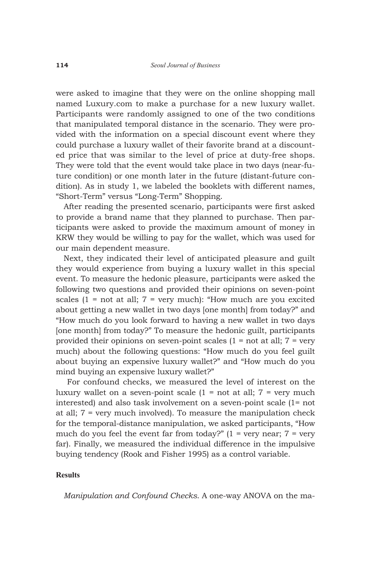were asked to imagine that they were on the online shopping mall named Luxury.com to make a purchase for a new luxury wallet. Participants were randomly assigned to one of the two conditions that manipulated temporal distance in the scenario. They were provided with the information on a special discount event where they could purchase a luxury wallet of their favorite brand at a discounted price that was similar to the level of price at duty-free shops. They were told that the event would take place in two days (near-future condition) or one month later in the future (distant-future condition). As in study 1, we labeled the booklets with different names, "Short-Term" versus "Long-Term" Shopping.

After reading the presented scenario, participants were first asked to provide a brand name that they planned to purchase. Then participants were asked to provide the maximum amount of money in KRW they would be willing to pay for the wallet, which was used for our main dependent measure.

Next, they indicated their level of anticipated pleasure and guilt they would experience from buying a luxury wallet in this special event. To measure the hedonic pleasure, participants were asked the following two questions and provided their opinions on seven-point scales  $(1 = not at all; 7 = very much):$  "How much are you excited about getting a new wallet in two days [one month] from today?" and "How much do you look forward to having a new wallet in two days [one month] from today?" To measure the hedonic guilt, participants provided their opinions on seven-point scales  $(1 = not at all; 7 = very$ much) about the following questions: "How much do you feel guilt about buying an expensive luxury wallet?" and "How much do you mind buying an expensive luxury wallet?"

 For confound checks, we measured the level of interest on the luxury wallet on a seven-point scale  $(1 = not at all; 7 = very much)$ interested) and also task involvement on a seven-point scale (1= not at all; 7 = very much involved). To measure the manipulation check for the temporal-distance manipulation, we asked participants, "How much do you feel the event far from today?"  $(1 = \text{very near}; 7 = \text{very}$ far). Finally, we measured the individual difference in the impulsive buying tendency (Rook and Fisher 1995) as a control variable.

### **Results**

*Manipulation and Confound Checks*. A one-way ANOVA on the ma-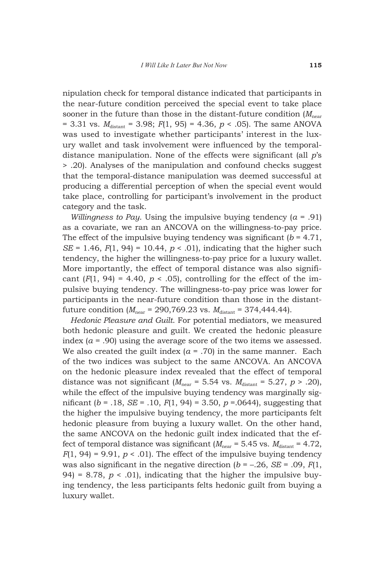nipulation check for temporal distance indicated that participants in the near-future condition perceived the special event to take place sooner in the future than those in the distant-future condition  $(M_{\text{near}})$ = 3.31 vs.  $M_{\text{distant}}$  = 3.98;  $F(1, 95)$  = 4.36,  $p < .05$ ). The same ANOVA was used to investigate whether participants' interest in the luxury wallet and task involvement were influenced by the temporaldistance manipulation. None of the effects were significant (all *p*'s > .20). Analyses of the manipulation and confound checks suggest that the temporal-distance manipulation was deemed successful at producing a differential perception of when the special event would take place, controlling for participant's involvement in the product category and the task.

*Willingness to Pay*. Using the impulsive buying tendency (*α* = .91) as a covariate, we ran an ANCOVA on the willingness-to-pay price. The effect of the impulsive buying tendency was significant  $(b = 4.71)$ , *SE* = 1.46, *F*(1, 94) = 10.44, *p* < .01), indicating that the higher such tendency, the higher the willingness-to-pay price for a luxury wallet. More importantly, the effect of temporal distance was also significant  $(F(1, 94) = 4.40, p < .05)$ , controlling for the effect of the impulsive buying tendency. The willingness-to-pay price was lower for participants in the near-future condition than those in the distantfuture condition  $(M_{\text{near}} = 290,769.23 \text{ vs. } M_{\text{distant}} = 374,444.44$ .

*Hedonic Pleasure and Guilt*. For potential mediators, we measured both hedonic pleasure and guilt. We created the hedonic pleasure index (*α* = .90) using the average score of the two items we assessed. We also created the guilt index  $(a = .70)$  in the same manner. Each of the two indices was subject to the same ANCOVA. An ANCOVA on the hedonic pleasure index revealed that the effect of temporal distance was not significant  $(M_{\text{near}} = 5.54 \text{ vs. } M_{\text{distant}} = 5.27, p > .20)$ , while the effect of the impulsive buying tendency was marginally significant (*b* = .18, *SE* = .10, *F*(1, 94) = 3.50, *p* =.0644), suggesting that the higher the impulsive buying tendency, the more participants felt hedonic pleasure from buying a luxury wallet. On the other hand, the same ANCOVA on the hedonic guilt index indicated that the effect of temporal distance was significant ( $M_{\text{near}}$  = 5.45 vs.  $M_{\text{distant}}$  = 4.72,  $F(1, 94) = 9.91$ ,  $p < .01$ ). The effect of the impulsive buying tendency was also significant in the negative direction  $(b = -.26, SE = .09, F(1,$ 94) = 8.78,  $p < .01$ ), indicating that the higher the impulsive buying tendency, the less participants felts hedonic guilt from buying a luxury wallet.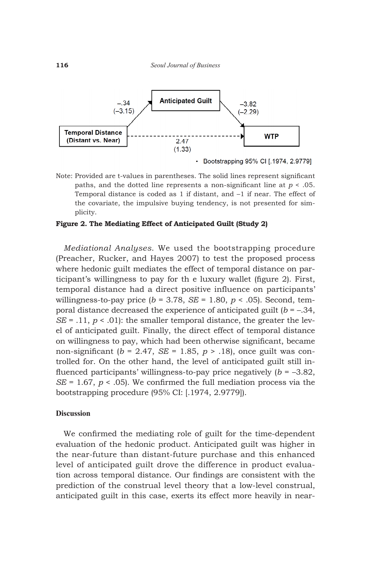

• Bootstrapping 95% CI [.1974, 2.9779]

Note: Provided are t-values in parentheses. The solid lines represent significant paths, and the dotted line represents a non-significant line at *p* < .05. Temporal distance is coded as 1 if distant, and –1 if near. The effect of the covariate, the impulsive buying tendency, is not presented for simplicity.

### **Figure 2. The Mediating Effect of Anticipated Guilt (Study 2)**

*Mediational Analyses*. We used the bootstrapping procedure (Preacher, Rucker, and Hayes 2007) to test the proposed process where hedonic guilt mediates the effect of temporal distance on participant's willingness to pay for th e luxury wallet (figure 2). First, temporal distance had a direct positive influence on participants' willingness-to-pay price  $(b = 3.78, SE = 1.80, p < .05)$ . Second, temporal distance decreased the experience of anticipated guilt (*b* = –.34, *SE* = .11,  $p < .01$ : the smaller temporal distance, the greater the level of anticipated guilt. Finally, the direct effect of temporal distance on willingness to pay, which had been otherwise significant, became non-significant ( $b = 2.47$ , *SE* = 1.85,  $p > 0.18$ ), once guilt was controlled for. On the other hand, the level of anticipated guilt still influenced participants' willingness-to-pay price negatively (*b* = –3.82, *SE* = 1.67,  $p < .05$ ). We confirmed the full mediation process via the bootstrapping procedure (95% CI: [.1974, 2.9779]).

### **Discussion**

We confirmed the mediating role of guilt for the time-dependent evaluation of the hedonic product. Anticipated guilt was higher in the near-future than distant-future purchase and this enhanced level of anticipated guilt drove the difference in product evaluation across temporal distance. Our findings are consistent with the prediction of the construal level theory that a low-level construal, anticipated guilt in this case, exerts its effect more heavily in near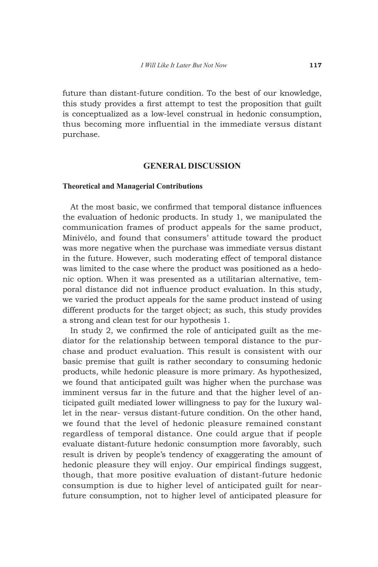future than distant-future condition. To the best of our knowledge, this study provides a first attempt to test the proposition that guilt is conceptualized as a low-level construal in hedonic consumption, thus becoming more influential in the immediate versus distant purchase.

### **General Discussion**

### **Theoretical and Managerial Contributions**

At the most basic, we confirmed that temporal distance influences the evaluation of hedonic products. In study 1, we manipulated the communication frames of product appeals for the same product, Minivélo, and found that consumers' attitude toward the product was more negative when the purchase was immediate versus distant in the future. However, such moderating effect of temporal distance was limited to the case where the product was positioned as a hedonic option. When it was presented as a utilitarian alternative, temporal distance did not influence product evaluation. In this study, we varied the product appeals for the same product instead of using different products for the target object; as such, this study provides a strong and clean test for our hypothesis 1.

In study 2, we confirmed the role of anticipated guilt as the mediator for the relationship between temporal distance to the purchase and product evaluation. This result is consistent with our basic premise that guilt is rather secondary to consuming hedonic products, while hedonic pleasure is more primary. As hypothesized, we found that anticipated guilt was higher when the purchase was imminent versus far in the future and that the higher level of anticipated guilt mediated lower willingness to pay for the luxury wallet in the near- versus distant-future condition. On the other hand, we found that the level of hedonic pleasure remained constant regardless of temporal distance. One could argue that if people evaluate distant-future hedonic consumption more favorably, such result is driven by people's tendency of exaggerating the amount of hedonic pleasure they will enjoy. Our empirical findings suggest, though, that more positive evaluation of distant-future hedonic consumption is due to higher level of anticipated guilt for nearfuture consumption, not to higher level of anticipated pleasure for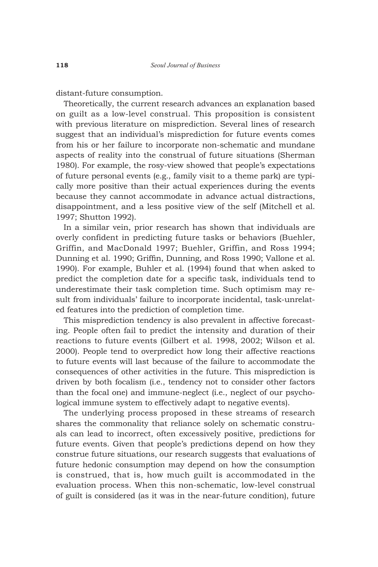distant-future consumption.

Theoretically, the current research advances an explanation based on guilt as a low-level construal. This proposition is consistent with previous literature on misprediction. Several lines of research suggest that an individual's misprediction for future events comes from his or her failure to incorporate non-schematic and mundane aspects of reality into the construal of future situations (Sherman 1980). For example, the rosy-view showed that people's expectations of future personal events (e.g., family visit to a theme park) are typically more positive than their actual experiences during the events because they cannot accommodate in advance actual distractions, disappointment, and a less positive view of the self (Mitchell et al. 1997; Shutton 1992).

In a similar vein, prior research has shown that individuals are overly confident in predicting future tasks or behaviors (Buehler, Griffin, and MacDonald 1997; Buehler, Griffin, and Ross 1994; Dunning et al. 1990; Griffin, Dunning, and Ross 1990; Vallone et al. 1990). For example, Buhler et al. (1994) found that when asked to predict the completion date for a specific task, individuals tend to underestimate their task completion time. Such optimism may result from individuals' failure to incorporate incidental, task-unrelated features into the prediction of completion time.

This misprediction tendency is also prevalent in affective forecasting. People often fail to predict the intensity and duration of their reactions to future events (Gilbert et al. 1998, 2002; Wilson et al. 2000). People tend to overpredict how long their affective reactions to future events will last because of the failure to accommodate the consequences of other activities in the future. This misprediction is driven by both focalism (i.e., tendency not to consider other factors than the focal one) and immune-neglect (i.e., neglect of our psychological immune system to effectively adapt to negative events).

The underlying process proposed in these streams of research shares the commonality that reliance solely on schematic construals can lead to incorrect, often excessively positive, predictions for future events. Given that people's predictions depend on how they construe future situations, our research suggests that evaluations of future hedonic consumption may depend on how the consumption is construed, that is, how much guilt is accommodated in the evaluation process. When this non-schematic, low-level construal of guilt is considered (as it was in the near-future condition), future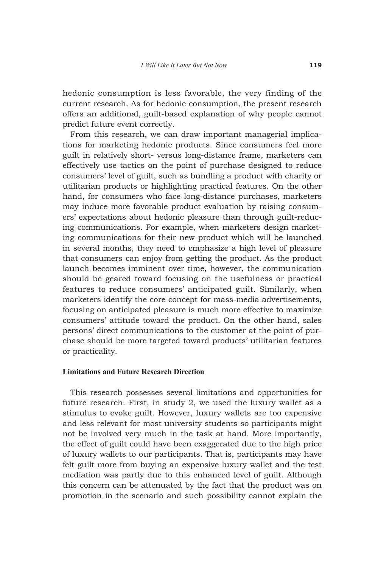hedonic consumption is less favorable, the very finding of the current research. As for hedonic consumption, the present research offers an additional, guilt-based explanation of why people cannot predict future event correctly.

From this research, we can draw important managerial implications for marketing hedonic products. Since consumers feel more guilt in relatively short- versus long-distance frame, marketers can effectively use tactics on the point of purchase designed to reduce consumers' level of guilt, such as bundling a product with charity or utilitarian products or highlighting practical features. On the other hand, for consumers who face long-distance purchases, marketers may induce more favorable product evaluation by raising consumers' expectations about hedonic pleasure than through guilt-reducing communications. For example, when marketers design marketing communications for their new product which will be launched in several months, they need to emphasize a high level of pleasure that consumers can enjoy from getting the product. As the product launch becomes imminent over time, however, the communication should be geared toward focusing on the usefulness or practical features to reduce consumers' anticipated guilt. Similarly, when marketers identify the core concept for mass-media advertisements, focusing on anticipated pleasure is much more effective to maximize consumers' attitude toward the product. On the other hand, sales persons' direct communications to the customer at the point of purchase should be more targeted toward products' utilitarian features or practicality.

### **Limitations and Future Research Direction**

This research possesses several limitations and opportunities for future research. First, in study 2, we used the luxury wallet as a stimulus to evoke guilt. However, luxury wallets are too expensive and less relevant for most university students so participants might not be involved very much in the task at hand. More importantly, the effect of guilt could have been exaggerated due to the high price of luxury wallets to our participants. That is, participants may have felt guilt more from buying an expensive luxury wallet and the test mediation was partly due to this enhanced level of guilt. Although this concern can be attenuated by the fact that the product was on promotion in the scenario and such possibility cannot explain the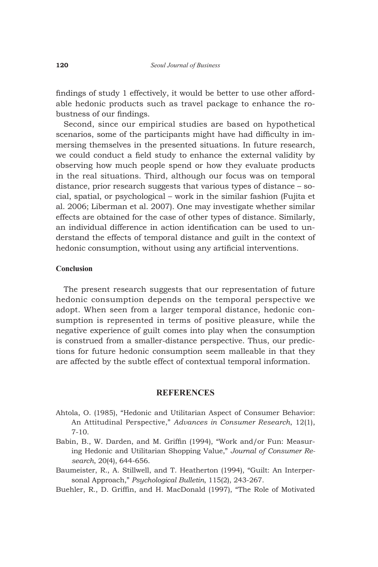findings of study 1 effectively, it would be better to use other affordable hedonic products such as travel package to enhance the robustness of our findings.

Second, since our empirical studies are based on hypothetical scenarios, some of the participants might have had difficulty in immersing themselves in the presented situations. In future research, we could conduct a field study to enhance the external validity by observing how much people spend or how they evaluate products in the real situations. Third, although our focus was on temporal distance, prior research suggests that various types of distance – social, spatial, or psychological – work in the similar fashion (Fujita et al. 2006; Liberman et al. 2007). One may investigate whether similar effects are obtained for the case of other types of distance. Similarly, an individual difference in action identification can be used to understand the effects of temporal distance and guilt in the context of hedonic consumption, without using any artificial interventions.

### **Conclusion**

The present research suggests that our representation of future hedonic consumption depends on the temporal perspective we adopt. When seen from a larger temporal distance, hedonic consumption is represented in terms of positive pleasure, while the negative experience of guilt comes into play when the consumption is construed from a smaller-distance perspective. Thus, our predictions for future hedonic consumption seem malleable in that they are affected by the subtle effect of contextual temporal information.

### **References**

- Ahtola, O. (1985), "Hedonic and Utilitarian Aspect of Consumer Behavior: An Attitudinal Perspective," *Advances in Consumer Research*, 12(1), 7-10.
- Babin, B., W. Darden, and M. Griffin (1994), "Work and/or Fun: Measuring Hedonic and Utilitarian Shopping Value," *Journal of Consumer Research*, 20(4), 644-656.
- Baumeister, R., A. Stillwell, and T. Heatherton (1994), "Guilt: An Interpersonal Approach," *Psychological Bulletin*, 115(2), 243-267.
- Buehler, R., D. Griffin, and H. MacDonald (1997), "The Role of Motivated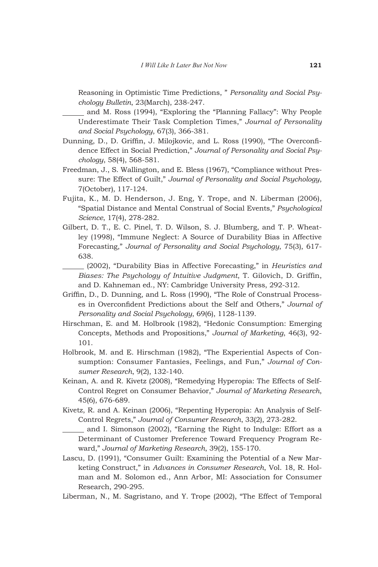Reasoning in Optimistic Time Predictions, " *Personality and Social Psychology Bulletin*, 23(March), 238-247.

 and M. Ross (1994), "Exploring the "Planning Fallacy": Why People Underestimate Their Task Completion Times," *Journal of Personality and Social Psychology*, 67(3), 366-381.

- Dunning, D., D. Griffin, J. Milojkovic, and L. Ross (1990), "The Overconfidence Effect in Social Prediction," *Journal of Personality and Social Psychology*, 58(4), 568-581.
- Freedman, J., S. Wallington, and E. Bless (1967), "Compliance without Pressure: The Effect of Guilt," *Journal of Personality and Social Psychology*, 7(October), 117-124.
- Fujita, K., M. D. Henderson, J. Eng, Y. Trope, and N. Liberman (2006), "Spatial Distance and Mental Construal of Social Events," *Psychological Science*, 17(4), 278-282.
- Gilbert, D. T., E. C. Pinel, T. D. Wilson, S. J. Blumberg, and T. P. Wheatley (1998), "Immune Neglect: A Source of Durability Bias in Affective Forecasting," *Journal of Personality and Social Psychology*, 75(3), 617- 638.

 (2002), "Durability Bias in Affective Forecasting," in *Heuristics and Biases: The Psychology of Intuitive Judgment*, T. Gilovich, D. Griffin, and D. Kahneman ed., NY: Cambridge University Press, 292-312.

- Griffin, D., D. Dunning, and L. Ross (1990), "The Role of Construal Processes in Overconfident Predictions about the Self and Others," *Journal of Personality and Social Psychology*, 69(6), 1128-1139.
- Hirschman, E. and M. Holbrook (1982), "Hedonic Consumption: Emerging Concepts, Methods and Propositions," *Journal of Marketing*, 46(3), 92- 101.
- Holbrook, M. and E. Hirschman (1982), "The Experiential Aspects of Consumption: Consumer Fantasies, Feelings, and Fun," *Journal of Consumer Research*, 9(2), 132-140.
- Keinan, A. and R. Kivetz (2008), "Remedying Hyperopia: The Effects of Self-Control Regret on Consumer Behavior," *Journal of Marketing Research*, 45(6), 676-689.
- Kivetz, R. and A. Keinan (2006), "Repenting Hyperopia: An Analysis of Self-Control Regrets," *Journal of Consumer Research*, 33(2), 273-282.

 and I. Simonson (2002), "Earning the Right to Indulge: Effort as a Determinant of Customer Preference Toward Frequency Program Reward," *Journal of Marketing Research*, 39(2), 155-170.

Lascu, D. (1991), "Consumer Guilt: Examining the Potential of a New Marketing Construct," in *Advances in Consumer Research*, Vol. 18, R. Holman and M. Solomon ed., Ann Arbor, MI: Association for Consumer Research, 290-295.

Liberman, N., M. Sagristano, and Y. Trope (2002), "The Effect of Temporal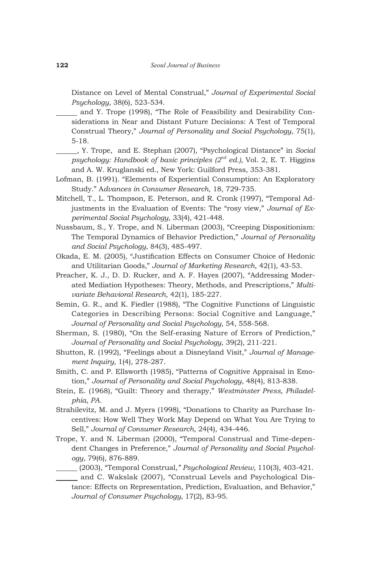Distance on Level of Mental Construal," *Journal of Experimental Social Psychology*, 38(6), 523-534.

 and Y. Trope (1998), "The Role of Feasibility and Desirability Considerations in Near and Distant Future Decisions: A Test of Temporal Construal Theory," *Journal of Personality and Social Psychology*, 75(1), 5-18.

 , Y. Trope, and E. Stephan (2007), "Psychological Distance" in *Social psychology: Handbook of basic principles (2nd ed.)*, Vol. 2, E. T. Higgins and A. W. Kruglanski ed., New York: Guilford Press, 353-381.

- Lofman, B. (1991). "Elements of Experiential Consumption: An Exploratory Study." A*dvances in Consumer Research*, 18, 729-735.
- Mitchell, T., L. Thompson, E. Peterson, and R. Cronk (1997), "Temporal Adjustments in the Evaluation of Events: The "rosy view," *Journal of Experimental Social Psychology*, 33(4), 421-448.
- Nussbaum, S., Y. Trope, and N. Liberman (2003), "Creeping Dispositionism: The Temporal Dynamics of Behavior Prediction," *Journal of Personality and Social Psychology*, 84(3), 485-497.
- Okada, E. M. (2005), "Justification Effects on Consumer Choice of Hedonic and Utilitarian Goods," *Journal of Marketing Research*, 42(1), 43-53.
- Preacher, K. J., D. D. Rucker, and A. F. Hayes (2007), "Addressing Moderated Mediation Hypotheses: Theory, Methods, and Prescriptions," *Multivariate Behavioral Research*, 42(1), 185-227.
- Semin, G. R., and K. Fiedler (1988), "The Cognitive Functions of Linguistic Categories in Describing Persons: Social Cognitive and Language," *Journal of Personality and Social Psychology*, 54, 558-568.
- Sherman, S. (1980), "On the Self-erasing Nature of Errors of Prediction," *Journal of Personality and Social Psychology*, 39(2), 211-221.
- Shutton, R. (1992), "Feelings about a Disneyland Visit," *Journal of Management Inquiry*, 1(4), 278-287.
- Smith, C. and P. Ellsworth (1985), "Patterns of Cognitive Appraisal in Emotion," *Journal of Personality and Social Psychology*, 48(4), 813-838.
- Stein, E. (1968), "Guilt: Theory and therapy," *Westminster Press, Philadelphia, PA.*
- Strahilevitz, M. and J. Myers (1998), "Donations to Charity as Purchase Incentives: How Well They Work May Depend on What You Are Trying to Sell," *Journal of Consumer Research*, 24(4), 434-446.
- Trope, Y. and N. Liberman (2000), "Temporal Construal and Time-dependent Changes in Preference," *Journal of Personality and Social Psychology*, 79(6), 876-889.
- (2003), "Temporal Construal*," Psychological Review,* 110(3), 403-421.
	- and C. Wakslak (2007), "Construal Levels and Psychological Distance: Effects on Representation, Prediction, Evaluation, and Behavior," *Journal of Consumer Psychology*, 17(2), 83-95.